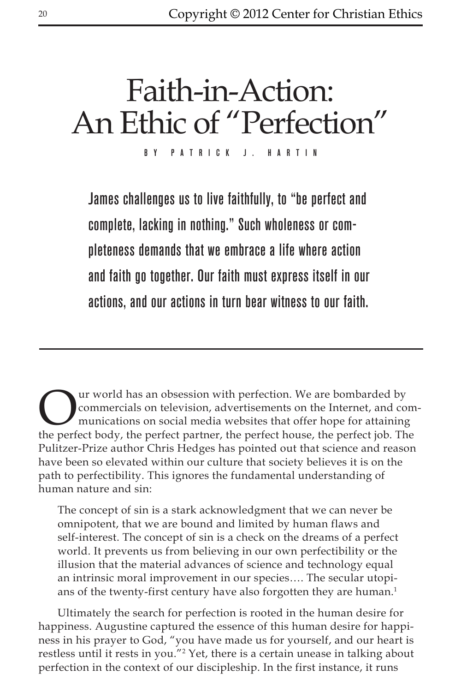# Faith-in-Action: An Ethic of "Perfection"

By Patrick J. Hartin

James challenges us to live faithfully, to "be perfect and complete, lacking in nothing." Such wholeness or completeness demands that we embrace a life where action and faith go together. Our faith must express itself in our actions, and our actions in turn bear witness to our faith.

Our world has an obsession with perfection. We are bombarded by<br>commercials on television, advertisements on the Internet, and communications on social media websites that offer hope for attaining<br>the perfect body, the per commercials on television, advertisements on the Internet, and communications on social media websites that offer hope for attaining the perfect body, the perfect partner, the perfect house, the perfect job. The Pulitzer-Prize author Chris Hedges has pointed out that science and reason have been so elevated within our culture that society believes it is on the path to perfectibility. This ignores the fundamental understanding of human nature and sin:

The concept of sin is a stark acknowledgment that we can never be omnipotent, that we are bound and limited by human flaws and self-interest. The concept of sin is a check on the dreams of a perfect world. It prevents us from believing in our own perfectibility or the illusion that the material advances of science and technology equal an intrinsic moral improvement in our species…. The secular utopians of the twenty-first century have also forgotten they are human.<sup>1</sup>

Ultimately the search for perfection is rooted in the human desire for happiness. Augustine captured the essence of this human desire for happiness in his prayer to God, "you have made us for yourself, and our heart is restless until it rests in you."2 Yet, there is a certain unease in talking about perfection in the context of our discipleship. In the first instance, it runs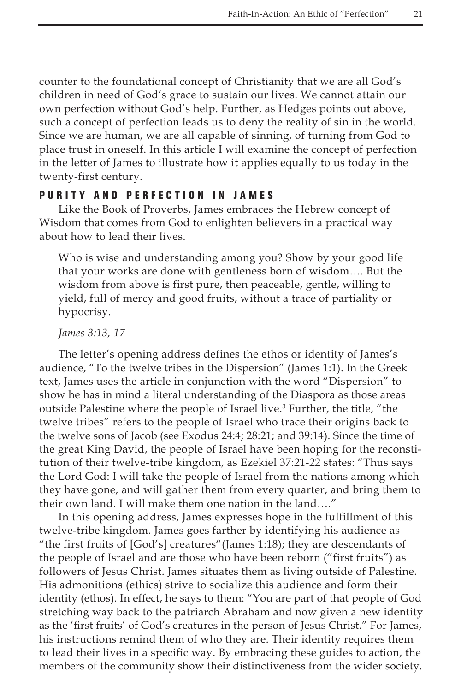counter to the foundational concept of Christianity that we are all God's children in need of God's grace to sustain our lives. We cannot attain our own perfection without God's help. Further, as Hedges points out above, such a concept of perfection leads us to deny the reality of sin in the world. Since we are human, we are all capable of sinning, of turning from God to place trust in oneself. In this article I will examine the concept of perfection in the letter of James to illustrate how it applies equally to us today in the twenty-first century.

#### Purity and Perfection in James

Like the Book of Proverbs, James embraces the Hebrew concept of Wisdom that comes from God to enlighten believers in a practical way about how to lead their lives.

Who is wise and understanding among you? Show by your good life that your works are done with gentleness born of wisdom…. But the wisdom from above is first pure, then peaceable, gentle, willing to yield, full of mercy and good fruits, without a trace of partiality or hypocrisy.

*James 3:13, 17*

The letter's opening address defines the ethos or identity of James's audience, "To the twelve tribes in the Dispersion" (James 1:1). In the Greek text, James uses the article in conjunction with the word "Dispersion" to show he has in mind a literal understanding of the Diaspora as those areas outside Palestine where the people of Israel live.<sup>3</sup> Further, the title, "the twelve tribes" refers to the people of Israel who trace their origins back to the twelve sons of Jacob (see Exodus 24:4; 28:21; and 39:14). Since the time of the great King David, the people of Israel have been hoping for the reconstitution of their twelve-tribe kingdom, as Ezekiel 37:21-22 states: "Thus says the Lord God: I will take the people of Israel from the nations among which they have gone, and will gather them from every quarter, and bring them to their own land. I will make them one nation in the land…."

In this opening address, James expresses hope in the fulfillment of this twelve-tribe kingdom. James goes farther by identifying his audience as "the first fruits of [God's] creatures"(James 1:18); they are descendants of the people of Israel and are those who have been reborn ("first fruits") as followers of Jesus Christ. James situates them as living outside of Palestine. His admonitions (ethics) strive to socialize this audience and form their identity (ethos). In effect, he says to them: "You are part of that people of God stretching way back to the patriarch Abraham and now given a new identity as the 'first fruits' of God's creatures in the person of Jesus Christ." For James, his instructions remind them of who they are. Their identity requires them to lead their lives in a specific way. By embracing these guides to action, the members of the community show their distinctiveness from the wider society.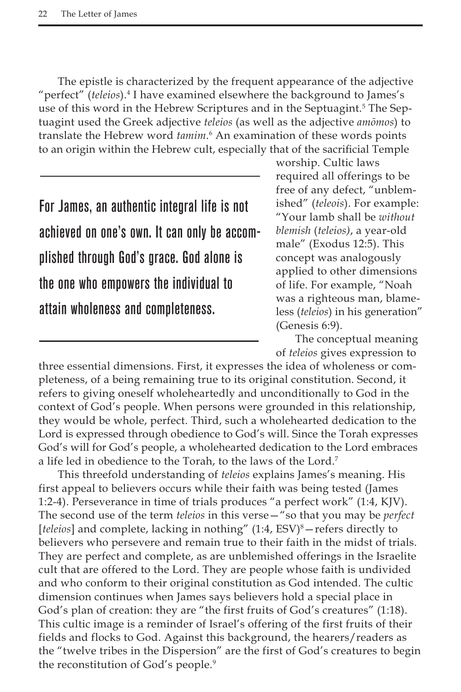The epistle is characterized by the frequent appearance of the adjective "perfect" (*teleios*).<sup>4</sup> I have examined elsewhere the background to James's use of this word in the Hebrew Scriptures and in the Septuagint.<sup>5</sup> The Septuagint used the Greek adjective *teleios* (as well as the adjective *amōmos*) to translate the Hebrew word *tamim*.<sup>6</sup> An examination of these words points to an origin within the Hebrew cult, especially that of the sacrificial Temple

For James, an authentic integral life is not achieved on one's own. It can only be accomplished through God's grace. God alone is the one who empowers the individual to attain wholeness and completeness.

worship. Cultic laws required all offerings to be free of any defect, "unblemished" (*teleois*). For example: "Your lamb shall be *without blemish* (*teleios)*, a year-old male" (Exodus 12:5). This concept was analogously applied to other dimensions of life. For example, "Noah was a righteous man, blameless (*teleios*) in his generation" (Genesis 6:9).

The conceptual meaning of *teleios* gives expression to

three essential dimensions. First, it expresses the idea of wholeness or completeness, of a being remaining true to its original constitution. Second, it refers to giving oneself wholeheartedly and unconditionally to God in the context of God's people. When persons were grounded in this relationship, they would be whole, perfect. Third, such a wholehearted dedication to the Lord is expressed through obedience to God's will. Since the Torah expresses God's will for God's people, a wholehearted dedication to the Lord embraces a life led in obedience to the Torah, to the laws of the Lord.7

This threefold understanding of *teleios* explains James's meaning. His first appeal to believers occurs while their faith was being tested (James 1:2-4). Perseverance in time of trials produces "a perfect work" (1:4, KJV). The second use of the term *teleios* in this verse—"so that you may be *perfect* [teleios] and complete, lacking in nothing" (1:4, ESV)<sup>8</sup> – refers directly to believers who persevere and remain true to their faith in the midst of trials. They are perfect and complete, as are unblemished offerings in the Israelite cult that are offered to the Lord. They are people whose faith is undivided and who conform to their original constitution as God intended. The cultic dimension continues when James says believers hold a special place in God's plan of creation: they are "the first fruits of God's creatures" (1:18). This cultic image is a reminder of Israel's offering of the first fruits of their fields and flocks to God. Against this background, the hearers/readers as the "twelve tribes in the Dispersion" are the first of God's creatures to begin the reconstitution of God's people.9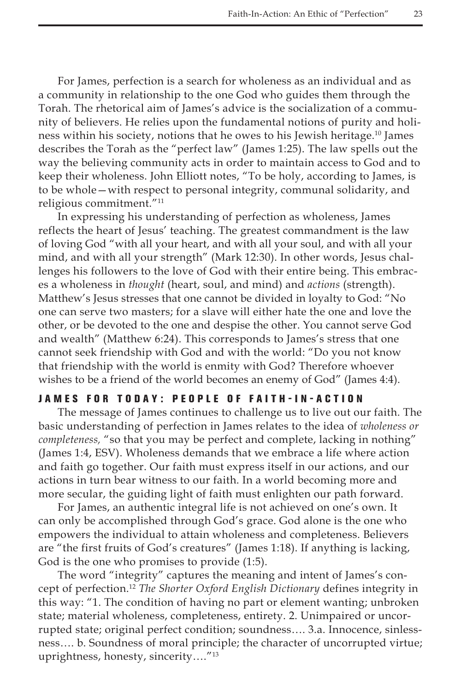For James, perfection is a search for wholeness as an individual and as a community in relationship to the one God who guides them through the Torah. The rhetorical aim of James's advice is the socialization of a community of believers. He relies upon the fundamental notions of purity and holiness within his society, notions that he owes to his Jewish heritage.<sup>10</sup> James describes the Torah as the "perfect law" (James 1:25). The law spells out the way the believing community acts in order to maintain access to God and to keep their wholeness. John Elliott notes, "To be holy, according to James, is to be whole—with respect to personal integrity, communal solidarity, and religious commitment."11

In expressing his understanding of perfection as wholeness, James reflects the heart of Jesus' teaching. The greatest commandment is the law of loving God "with all your heart, and with all your soul, and with all your mind, and with all your strength" (Mark 12:30). In other words, Jesus challenges his followers to the love of God with their entire being. This embraces a wholeness in *thought* (heart, soul, and mind) and *actions* (strength). Matthew's Jesus stresses that one cannot be divided in loyalty to God: "No one can serve two masters; for a slave will either hate the one and love the other, or be devoted to the one and despise the other. You cannot serve God and wealth" (Matthew 6:24). This corresponds to James's stress that one cannot seek friendship with God and with the world: "Do you not know that friendship with the world is enmity with God? Therefore whoever wishes to be a friend of the world becomes an enemy of God" (James 4:4).

# JAMES FOR TODAY: PEOPLE OF FAITH-IN-ACTION

The message of James continues to challenge us to live out our faith. The basic understanding of perfection in James relates to the idea of *wholeness or completeness,* "so that you may be perfect and complete, lacking in nothing" (James 1:4, ESV). Wholeness demands that we embrace a life where action and faith go together. Our faith must express itself in our actions, and our actions in turn bear witness to our faith. In a world becoming more and more secular, the guiding light of faith must enlighten our path forward.

For James, an authentic integral life is not achieved on one's own. It can only be accomplished through God's grace. God alone is the one who empowers the individual to attain wholeness and completeness. Believers are "the first fruits of God's creatures" (James 1:18). If anything is lacking, God is the one who promises to provide (1:5).

The word "integrity" captures the meaning and intent of James's concept of perfection.12 *The Shorter Oxford English Dictionary* defines integrity in this way: "1. The condition of having no part or element wanting; unbroken state; material wholeness, completeness, entirety. 2. Unimpaired or uncorrupted state; original perfect condition; soundness…. 3.a. Innocence, sinlessness…. b. Soundness of moral principle; the character of uncorrupted virtue; uprightness, honesty, sincerity…."13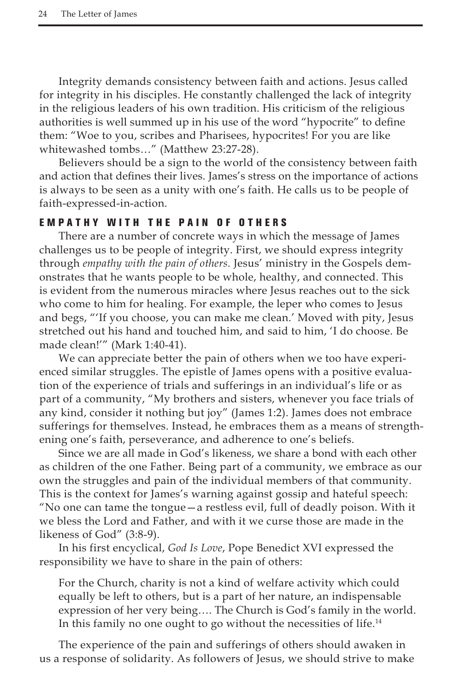Integrity demands consistency between faith and actions. Jesus called for integrity in his disciples. He constantly challenged the lack of integrity in the religious leaders of his own tradition. His criticism of the religious authorities is well summed up in his use of the word "hypocrite" to define them: "Woe to you, scribes and Pharisees, hypocrites! For you are like whitewashed tombs…" (Matthew 23:27-28).

Believers should be a sign to the world of the consistency between faith and action that defines their lives. James's stress on the importance of actions is always to be seen as a unity with one's faith. He calls us to be people of faith-expressed-in-action.

# E M P A T H Y W I T H T H E P A I N O F O T H E R S

There are a number of concrete ways in which the message of James challenges us to be people of integrity. First, we should express integrity through *empathy with the pain of others.* Jesus' ministry in the Gospels demonstrates that he wants people to be whole, healthy, and connected. This is evident from the numerous miracles where Jesus reaches out to the sick who come to him for healing. For example, the leper who comes to Jesus and begs, "'If you choose, you can make me clean.' Moved with pity, Jesus stretched out his hand and touched him, and said to him, 'I do choose. Be made clean!'" (Mark 1:40-41).

We can appreciate better the pain of others when we too have experienced similar struggles. The epistle of James opens with a positive evaluation of the experience of trials and sufferings in an individual's life or as part of a community, "My brothers and sisters, whenever you face trials of any kind, consider it nothing but joy" (James 1:2). James does not embrace sufferings for themselves. Instead, he embraces them as a means of strengthening one's faith, perseverance, and adherence to one's beliefs.

Since we are all made in God's likeness, we share a bond with each other as children of the one Father. Being part of a community, we embrace as our own the struggles and pain of the individual members of that community. This is the context for James's warning against gossip and hateful speech: "No one can tame the tongue—a restless evil, full of deadly poison. With it we bless the Lord and Father, and with it we curse those are made in the likeness of God" (3:8-9).

In his first encyclical, *God Is Love*, Pope Benedict XVI expressed the responsibility we have to share in the pain of others:

For the Church, charity is not a kind of welfare activity which could equally be left to others, but is a part of her nature, an indispensable expression of her very being…. The Church is God's family in the world. In this family no one ought to go without the necessities of life.14

The experience of the pain and sufferings of others should awaken in us a response of solidarity. As followers of Jesus, we should strive to make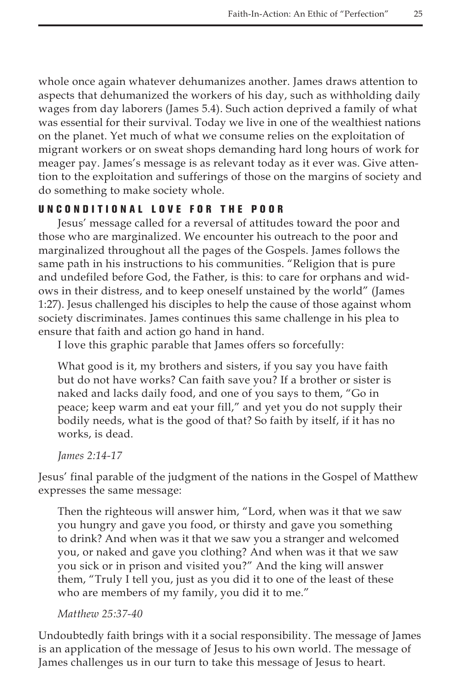whole once again whatever dehumanizes another. James draws attention to aspects that dehumanized the workers of his day, such as withholding daily wages from day laborers (James 5.4). Such action deprived a family of what was essential for their survival. Today we live in one of the wealthiest nations on the planet. Yet much of what we consume relies on the exploitation of migrant workers or on sweat shops demanding hard long hours of work for meager pay. James's message is as relevant today as it ever was. Give attention to the exploitation and sufferings of those on the margins of society and do something to make society whole.

# U nconditional L ove for the Poor

Jesus' message called for a reversal of attitudes toward the poor and those who are marginalized. We encounter his outreach to the poor and marginalized throughout all the pages of the Gospels. James follows the same path in his instructions to his communities. "Religion that is pure and undefiled before God, the Father, is this: to care for orphans and widows in their distress, and to keep oneself unstained by the world" (James 1:27). Jesus challenged his disciples to help the cause of those against whom society discriminates. James continues this same challenge in his plea to ensure that faith and action go hand in hand.

I love this graphic parable that James offers so forcefully:

What good is it, my brothers and sisters, if you say you have faith but do not have works? Can faith save you? If a brother or sister is naked and lacks daily food, and one of you says to them, "Go in peace; keep warm and eat your fill," and yet you do not supply their bodily needs, what is the good of that? So faith by itself, if it has no works, is dead.

*James 2:14-17*

Jesus' final parable of the judgment of the nations in the Gospel of Matthew expresses the same message:

Then the righteous will answer him, "Lord, when was it that we saw you hungry and gave you food, or thirsty and gave you something to drink? And when was it that we saw you a stranger and welcomed you, or naked and gave you clothing? And when was it that we saw you sick or in prison and visited you?" And the king will answer them, "Truly I tell you, just as you did it to one of the least of these who are members of my family, you did it to me."

### *Matthew 25:37-40*

Undoubtedly faith brings with it a social responsibility. The message of James is an application of the message of Jesus to his own world. The message of James challenges us in our turn to take this message of Jesus to heart.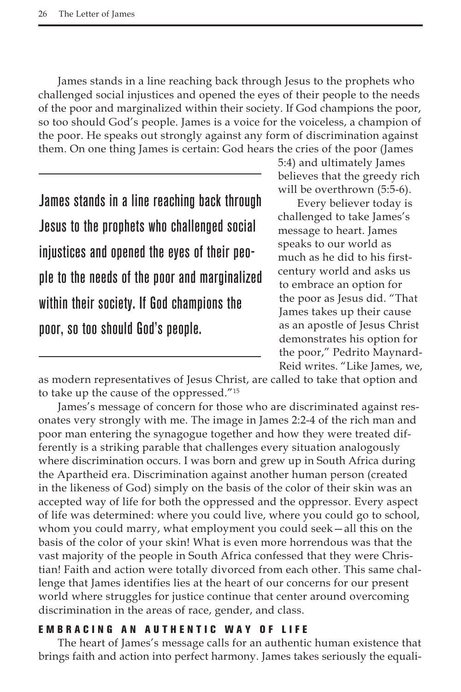James stands in a line reaching back through Jesus to the prophets who challenged social injustices and opened the eyes of their people to the needs of the poor and marginalized within their society. If God champions the poor, so too should God's people. James is a voice for the voiceless, a champion of the poor. He speaks out strongly against any form of discrimination against them. On one thing James is certain: God hears the cries of the poor (James

James stands in a line reaching back through Jesus to the prophets who challenged social injustices and opened the eyes of their people to the needs of the poor and marginalized within their society. If God champions the poor, so too should God's people.

5:4) and ultimately James believes that the greedy rich will be overthrown (5:5-6).

Every believer today is challenged to take James's message to heart. James speaks to our world as much as he did to his firstcentury world and asks us to embrace an option for the poor as Jesus did. "That James takes up their cause as an apostle of Jesus Christ demonstrates his option for the poor," Pedrito Maynard-Reid writes. "Like James, we,

as modern representatives of Jesus Christ, are called to take that option and to take up the cause of the oppressed."15

James's message of concern for those who are discriminated against resonates very strongly with me. The image in James 2:2-4 of the rich man and poor man entering the synagogue together and how they were treated differently is a striking parable that challenges every situation analogously where discrimination occurs. I was born and grew up in South Africa during the Apartheid era. Discrimination against another human person (created in the likeness of God) simply on the basis of the color of their skin was an accepted way of life for both the oppressed and the oppressor. Every aspect of life was determined: where you could live, where you could go to school, whom you could marry, what employment you could seek—all this on the basis of the color of your skin! What is even more horrendous was that the vast majority of the people in South Africa confessed that they were Christian! Faith and action were totally divorced from each other. This same challenge that James identifies lies at the heart of our concerns for our present world where struggles for justice continue that center around overcoming discrimination in the areas of race, gender, and class.

## E mbracing an A uthentic W ay of L ife

The heart of James's message calls for an authentic human existence that brings faith and action into perfect harmony. James takes seriously the equali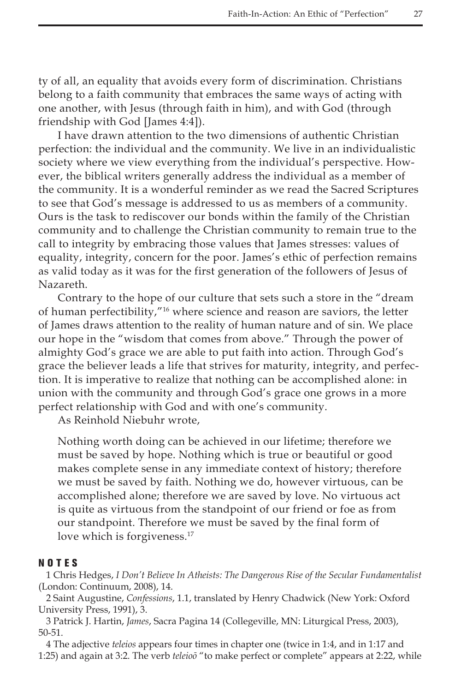ty of all, an equality that avoids every form of discrimination. Christians belong to a faith community that embraces the same ways of acting with one another, with Jesus (through faith in him), and with God (through friendship with God [James 4:4]).

I have drawn attention to the two dimensions of authentic Christian perfection: the individual and the community. We live in an individualistic society where we view everything from the individual's perspective. However, the biblical writers generally address the individual as a member of the community. It is a wonderful reminder as we read the Sacred Scriptures to see that God's message is addressed to us as members of a community. Ours is the task to rediscover our bonds within the family of the Christian community and to challenge the Christian community to remain true to the call to integrity by embracing those values that James stresses: values of equality, integrity, concern for the poor. James's ethic of perfection remains as valid today as it was for the first generation of the followers of Jesus of Nazareth.

Contrary to the hope of our culture that sets such a store in the "dream of human perfectibility,"16 where science and reason are saviors, the letter of James draws attention to the reality of human nature and of sin. We place our hope in the "wisdom that comes from above." Through the power of almighty God's grace we are able to put faith into action. Through God's grace the believer leads a life that strives for maturity, integrity, and perfection. It is imperative to realize that nothing can be accomplished alone: in union with the community and through God's grace one grows in a more perfect relationship with God and with one's community.

As Reinhold Niebuhr wrote,

Nothing worth doing can be achieved in our lifetime; therefore we must be saved by hope. Nothing which is true or beautiful or good makes complete sense in any immediate context of history; therefore we must be saved by faith. Nothing we do, however virtuous, can be accomplished alone; therefore we are saved by love. No virtuous act is quite as virtuous from the standpoint of our friend or foe as from our standpoint. Therefore we must be saved by the final form of love which is forgiveness.<sup>17</sup>

## NOTES

1 Chris Hedges, *I Don't Believe In Atheists: The Dangerous Rise of the Secular Fundamentalist* (London: Continuum, 2008), 14.

2 Saint Augustine, *Confessions*, 1.1, translated by Henry Chadwick (New York: Oxford University Press, 1991), 3.

3 Patrick J. Hartin, *James*, Sacra Pagina 14 (Collegeville, MN: Liturgical Press, 2003), 50-51.

4 The adjective *teleios* appears four times in chapter one (twice in 1:4, and in 1:17 and 1:25) and again at 3:2. The verb *teleioō* "to make perfect or complete" appears at 2:22, while